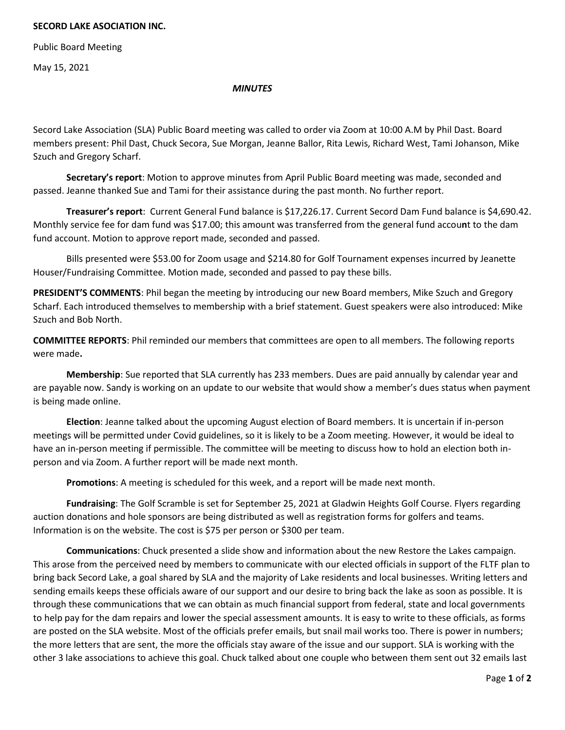## **SECORD LAKE ASOCIATION INC.**

Public Board Meeting

May 15, 2021

## *MINUTES*

Secord Lake Association (SLA) Public Board meeting was called to order via Zoom at 10:00 A.M by Phil Dast. Board members present: Phil Dast, Chuck Secora, Sue Morgan, Jeanne Ballor, Rita Lewis, Richard West, Tami Johanson, Mike Szuch and Gregory Scharf.

**Secretary's report**: Motion to approve minutes from April Public Board meeting was made, seconded and passed. Jeanne thanked Sue and Tami for their assistance during the past month. No further report.

**Treasurer's report**: Current General Fund balance is \$17,226.17. Current Secord Dam Fund balance is \$4,690.42. Monthly service fee for dam fund was \$17.00; this amount was transferred from the general fund accou**n**t to the dam fund account. Motion to approve report made, seconded and passed.

Bills presented were \$53.00 for Zoom usage and \$214.80 for Golf Tournament expenses incurred by Jeanette Houser/Fundraising Committee. Motion made, seconded and passed to pay these bills.

**PRESIDENT'S COMMENTS**: Phil began the meeting by introducing our new Board members, Mike Szuch and Gregory Scharf. Each introduced themselves to membership with a brief statement. Guest speakers were also introduced: Mike Szuch and Bob North.

**COMMITTEE REPORTS**: Phil reminded our members that committees are open to all members. The following reports were made**.** 

**Membership**: Sue reported that SLA currently has 233 members. Dues are paid annually by calendar year and are payable now. Sandy is working on an update to our website that would show a member's dues status when payment is being made online.

**Election**: Jeanne talked about the upcoming August election of Board members. It is uncertain if in-person meetings will be permitted under Covid guidelines, so it is likely to be a Zoom meeting. However, it would be ideal to have an in-person meeting if permissible. The committee will be meeting to discuss how to hold an election both inperson and via Zoom. A further report will be made next month.

**Promotions**: A meeting is scheduled for this week, and a report will be made next month.

**Fundraising**: The Golf Scramble is set for September 25, 2021 at Gladwin Heights Golf Course. Flyers regarding auction donations and hole sponsors are being distributed as well as registration forms for golfers and teams. Information is on the website. The cost is \$75 per person or \$300 per team.

**Communications**: Chuck presented a slide show and information about the new Restore the Lakes campaign. This arose from the perceived need by members to communicate with our elected officials in support of the FLTF plan to bring back Secord Lake, a goal shared by SLA and the majority of Lake residents and local businesses. Writing letters and sending emails keeps these officials aware of our support and our desire to bring back the lake as soon as possible. It is through these communications that we can obtain as much financial support from federal, state and local governments to help pay for the dam repairs and lower the special assessment amounts. It is easy to write to these officials, as forms are posted on the SLA website. Most of the officials prefer emails, but snail mail works too. There is power in numbers; the more letters that are sent, the more the officials stay aware of the issue and our support. SLA is working with the other 3 lake associations to achieve this goal. Chuck talked about one couple who between them sent out 32 emails last